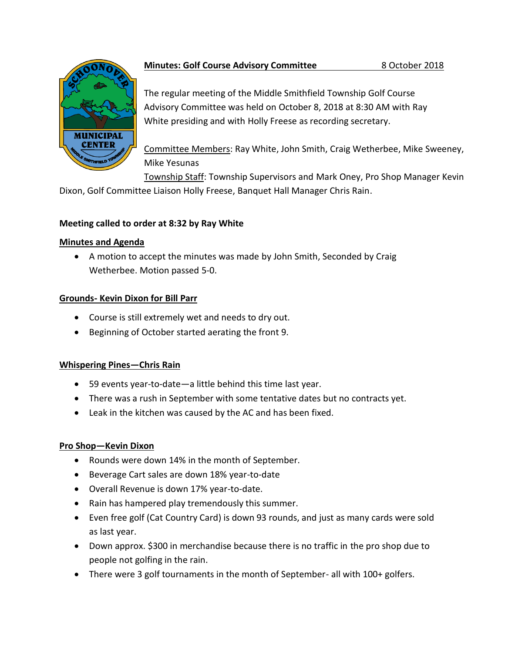

## **Minutes: Golf Course Advisory Committee** 8 October 2018

The regular meeting of the Middle Smithfield Township Golf Course Advisory Committee was held on October 8, 2018 at 8:30 AM with Ray White presiding and with Holly Freese as recording secretary.

Committee Members: Ray White, John Smith, Craig Wetherbee, Mike Sweeney, Mike Yesunas

Township Staff: Township Supervisors and Mark Oney, Pro Shop Manager Kevin

Dixon, Golf Committee Liaison Holly Freese, Banquet Hall Manager Chris Rain.

## **Meeting called to order at 8:32 by Ray White**

### **Minutes and Agenda**

 A motion to accept the minutes was made by John Smith, Seconded by Craig Wetherbee. Motion passed 5-0.

# **Grounds- Kevin Dixon for Bill Parr**

- Course is still extremely wet and needs to dry out.
- Beginning of October started aerating the front 9.

# **Whispering Pines—Chris Rain**

- 59 events year-to-date—a little behind this time last year.
- There was a rush in September with some tentative dates but no contracts yet.
- Leak in the kitchen was caused by the AC and has been fixed.

# **Pro Shop—Kevin Dixon**

- Rounds were down 14% in the month of September.
- Beverage Cart sales are down 18% year-to-date
- Overall Revenue is down 17% year-to-date.
- Rain has hampered play tremendously this summer.
- Even free golf (Cat Country Card) is down 93 rounds, and just as many cards were sold as last year.
- Down approx. \$300 in merchandise because there is no traffic in the pro shop due to people not golfing in the rain.
- There were 3 golf tournaments in the month of September- all with 100+ golfers.